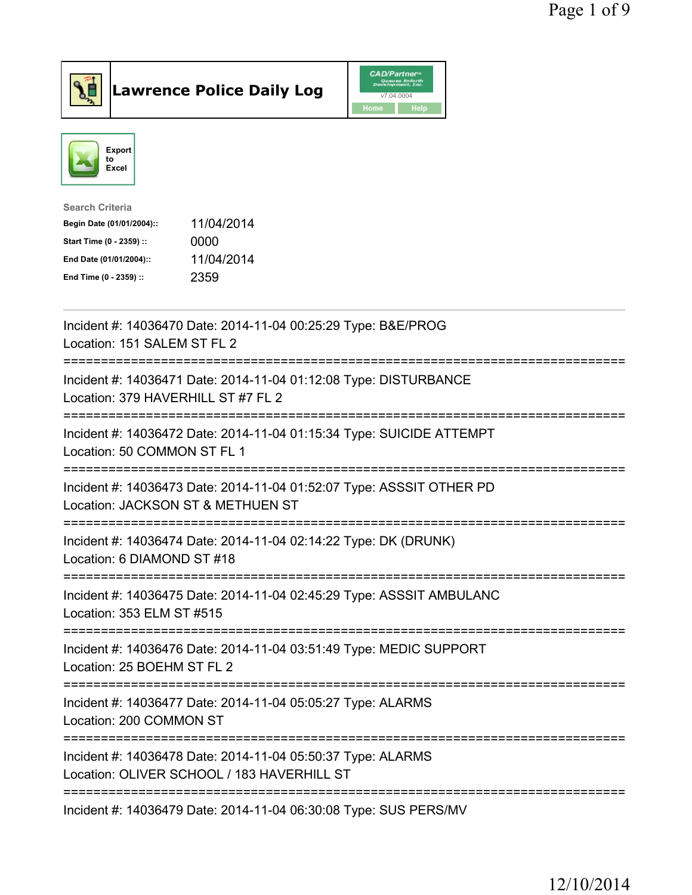



| <b>Search Criteria</b>    |            |
|---------------------------|------------|
| Begin Date (01/01/2004):: | 11/04/2014 |
| Start Time (0 - 2359) ::  | 0000       |
| End Date (01/01/2004)::   | 11/04/2014 |
| End Time (0 - 2359) ::    | 2359       |
|                           |            |

| Incident #: 14036470 Date: 2014-11-04 00:25:29 Type: B&E/PROG<br>Location: 151 SALEM ST FL 2              |
|-----------------------------------------------------------------------------------------------------------|
| Incident #: 14036471 Date: 2014-11-04 01:12:08 Type: DISTURBANCE<br>Location: 379 HAVERHILL ST #7 FL 2    |
| Incident #: 14036472 Date: 2014-11-04 01:15:34 Type: SUICIDE ATTEMPT<br>Location: 50 COMMON ST FL 1       |
| Incident #: 14036473 Date: 2014-11-04 01:52:07 Type: ASSSIT OTHER PD<br>Location: JACKSON ST & METHUEN ST |
| Incident #: 14036474 Date: 2014-11-04 02:14:22 Type: DK (DRUNK)<br>Location: 6 DIAMOND ST #18             |
| Incident #: 14036475 Date: 2014-11-04 02:45:29 Type: ASSSIT AMBULANC<br>Location: 353 ELM ST #515         |
| Incident #: 14036476 Date: 2014-11-04 03:51:49 Type: MEDIC SUPPORT<br>Location: 25 BOEHM ST FL 2          |
| Incident #: 14036477 Date: 2014-11-04 05:05:27 Type: ALARMS<br>Location: 200 COMMON ST                    |
| Incident #: 14036478 Date: 2014-11-04 05:50:37 Type: ALARMS<br>Location: OLIVER SCHOOL / 183 HAVERHILL ST |
| Incident #: 14036479 Date: 2014-11-04 06:30:08 Type: SUS PERS/MV                                          |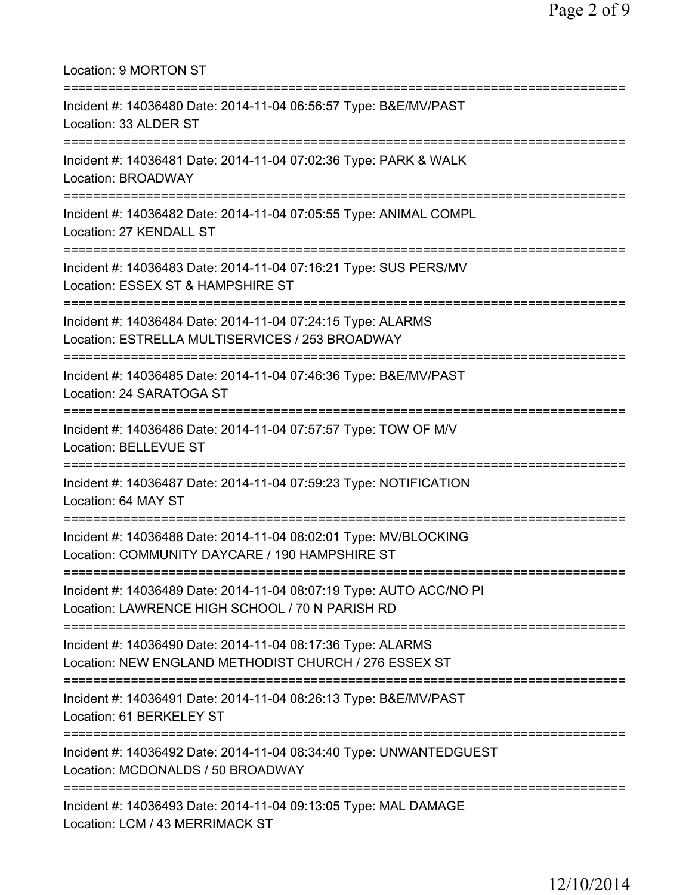| Location: 9 MORTON ST                                                                                                          |
|--------------------------------------------------------------------------------------------------------------------------------|
| Incident #: 14036480 Date: 2014-11-04 06:56:57 Type: B&E/MV/PAST<br>Location: 33 ALDER ST                                      |
| Incident #: 14036481 Date: 2014-11-04 07:02:36 Type: PARK & WALK<br>Location: BROADWAY                                         |
| Incident #: 14036482 Date: 2014-11-04 07:05:55 Type: ANIMAL COMPL<br>Location: 27 KENDALL ST<br>============================== |
| Incident #: 14036483 Date: 2014-11-04 07:16:21 Type: SUS PERS/MV<br>Location: ESSEX ST & HAMPSHIRE ST                          |
| Incident #: 14036484 Date: 2014-11-04 07:24:15 Type: ALARMS<br>Location: ESTRELLA MULTISERVICES / 253 BROADWAY                 |
| Incident #: 14036485 Date: 2014-11-04 07:46:36 Type: B&E/MV/PAST<br>Location: 24 SARATOGA ST                                   |
| Incident #: 14036486 Date: 2014-11-04 07:57:57 Type: TOW OF M/V<br><b>Location: BELLEVUE ST</b>                                |
| Incident #: 14036487 Date: 2014-11-04 07:59:23 Type: NOTIFICATION<br>Location: 64 MAY ST                                       |
| Incident #: 14036488 Date: 2014-11-04 08:02:01 Type: MV/BLOCKING<br>Location: COMMUNITY DAYCARE / 190 HAMPSHIRE ST             |
| Incident #: 14036489 Date: 2014-11-04 08:07:19 Type: AUTO ACC/NO PI<br>Location: LAWRENCE HIGH SCHOOL / 70 N PARISH RD         |
| Incident #: 14036490 Date: 2014-11-04 08:17:36 Type: ALARMS<br>Location: NEW ENGLAND METHODIST CHURCH / 276 ESSEX ST           |
| Incident #: 14036491 Date: 2014-11-04 08:26:13 Type: B&E/MV/PAST<br>Location: 61 BERKELEY ST                                   |
| Incident #: 14036492 Date: 2014-11-04 08:34:40 Type: UNWANTEDGUEST<br>Location: MCDONALDS / 50 BROADWAY                        |
| ==================<br>Incident #: 14036493 Date: 2014-11-04 09:13:05 Type: MAL DAMAGE<br>Location: LCM / 43 MERRIMACK ST       |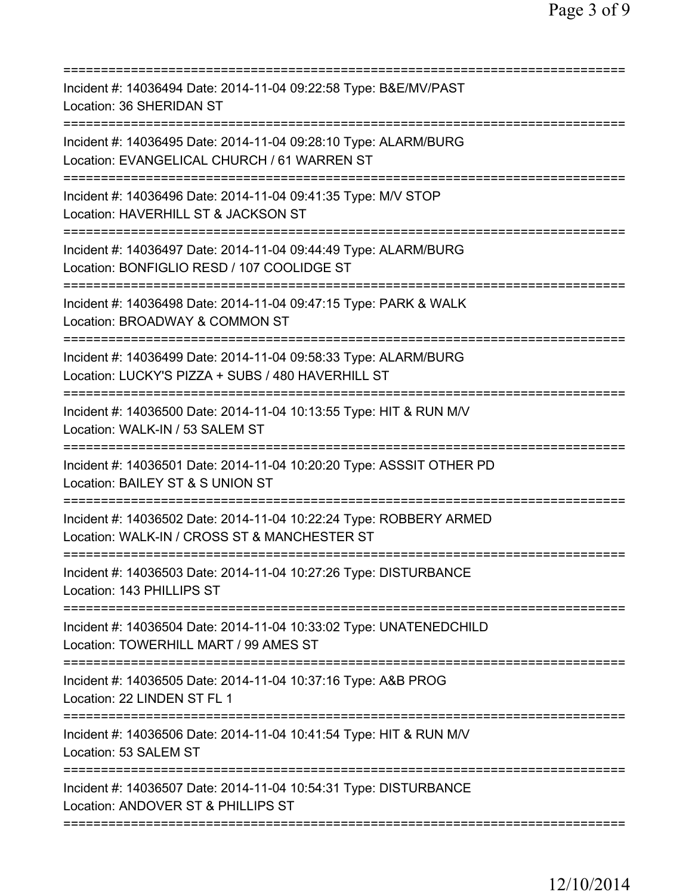| Incident #: 14036494 Date: 2014-11-04 09:22:58 Type: B&E/MV/PAST<br>Location: 36 SHERIDAN ST                                                                                             |
|------------------------------------------------------------------------------------------------------------------------------------------------------------------------------------------|
| Incident #: 14036495 Date: 2014-11-04 09:28:10 Type: ALARM/BURG<br>Location: EVANGELICAL CHURCH / 61 WARREN ST<br>==================================                                     |
| Incident #: 14036496 Date: 2014-11-04 09:41:35 Type: M/V STOP<br>Location: HAVERHILL ST & JACKSON ST                                                                                     |
| Incident #: 14036497 Date: 2014-11-04 09:44:49 Type: ALARM/BURG<br>Location: BONFIGLIO RESD / 107 COOLIDGE ST                                                                            |
| Incident #: 14036498 Date: 2014-11-04 09:47:15 Type: PARK & WALK<br>Location: BROADWAY & COMMON ST                                                                                       |
| ======================<br>Incident #: 14036499 Date: 2014-11-04 09:58:33 Type: ALARM/BURG<br>Location: LUCKY'S PIZZA + SUBS / 480 HAVERHILL ST                                           |
| Incident #: 14036500 Date: 2014-11-04 10:13:55 Type: HIT & RUN M/V<br>Location: WALK-IN / 53 SALEM ST                                                                                    |
| Incident #: 14036501 Date: 2014-11-04 10:20:20 Type: ASSSIT OTHER PD<br>Location: BAILEY ST & S UNION ST<br>===============<br>:===========================<br>========================= |
| Incident #: 14036502 Date: 2014-11-04 10:22:24 Type: ROBBERY ARMED<br>Location: WALK-IN / CROSS ST & MANCHESTER ST                                                                       |
| Incident #: 14036503 Date: 2014-11-04 10:27:26 Type: DISTURBANCE<br>Location: 143 PHILLIPS ST                                                                                            |
| Incident #: 14036504 Date: 2014-11-04 10:33:02 Type: UNATENEDCHILD<br>Location: TOWERHILL MART / 99 AMES ST                                                                              |
| Incident #: 14036505 Date: 2014-11-04 10:37:16 Type: A&B PROG<br>Location: 22 LINDEN ST FL 1                                                                                             |
| Incident #: 14036506 Date: 2014-11-04 10:41:54 Type: HIT & RUN M/V<br>Location: 53 SALEM ST                                                                                              |
| Incident #: 14036507 Date: 2014-11-04 10:54:31 Type: DISTURBANCE<br>Location: ANDOVER ST & PHILLIPS ST                                                                                   |
|                                                                                                                                                                                          |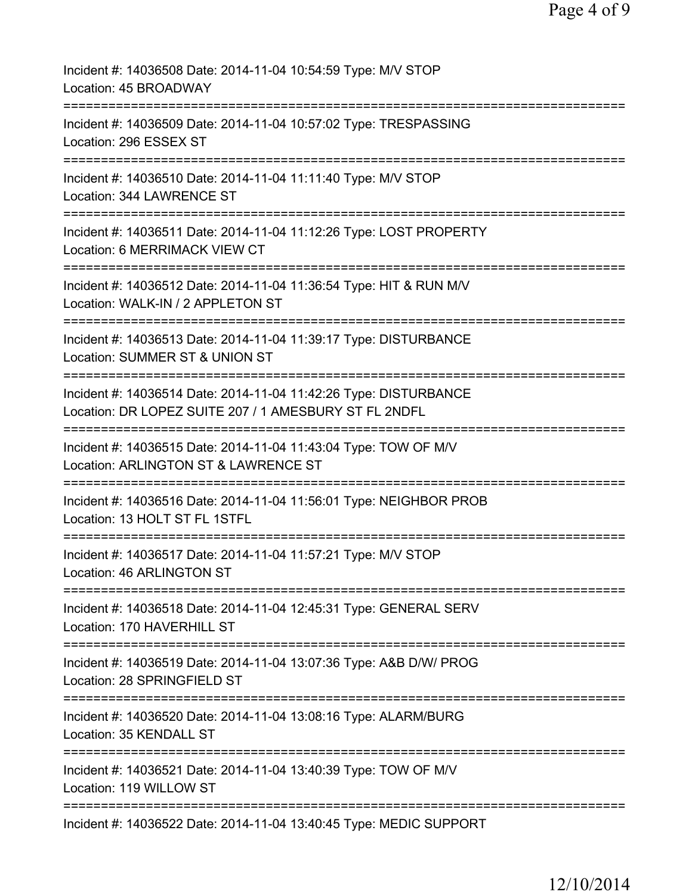| Incident #: 14036508 Date: 2014-11-04 10:54:59 Type: M/V STOP<br>Location: 45 BROADWAY                                                             |
|----------------------------------------------------------------------------------------------------------------------------------------------------|
| Incident #: 14036509 Date: 2014-11-04 10:57:02 Type: TRESPASSING<br>Location: 296 ESSEX ST                                                         |
| Incident #: 14036510 Date: 2014-11-04 11:11:40 Type: M/V STOP<br>Location: 344 LAWRENCE ST                                                         |
| Incident #: 14036511 Date: 2014-11-04 11:12:26 Type: LOST PROPERTY<br>Location: 6 MERRIMACK VIEW CT                                                |
| Incident #: 14036512 Date: 2014-11-04 11:36:54 Type: HIT & RUN M/V<br>Location: WALK-IN / 2 APPLETON ST                                            |
| Incident #: 14036513 Date: 2014-11-04 11:39:17 Type: DISTURBANCE<br>Location: SUMMER ST & UNION ST                                                 |
| Incident #: 14036514 Date: 2014-11-04 11:42:26 Type: DISTURBANCE<br>Location: DR LOPEZ SUITE 207 / 1 AMESBURY ST FL 2NDFL<br>===================   |
| Incident #: 14036515 Date: 2014-11-04 11:43:04 Type: TOW OF M/V<br>Location: ARLINGTON ST & LAWRENCE ST                                            |
| ===============<br>:=======================<br>Incident #: 14036516 Date: 2014-11-04 11:56:01 Type: NEIGHBOR PROB<br>Location: 13 HOLT ST FL 1STFL |
| ===============<br>Incident #: 14036517 Date: 2014-11-04 11:57:21 Type: M/V STOP<br>Location: 46 ARLINGTON ST                                      |
| Incident #: 14036518 Date: 2014-11-04 12:45:31 Type: GENERAL SERV<br>Location: 170 HAVERHILL ST                                                    |
| Incident #: 14036519 Date: 2014-11-04 13:07:36 Type: A&B D/W/ PROG<br>Location: 28 SPRINGFIELD ST                                                  |
| Incident #: 14036520 Date: 2014-11-04 13:08:16 Type: ALARM/BURG<br>Location: 35 KENDALL ST                                                         |
| Incident #: 14036521 Date: 2014-11-04 13:40:39 Type: TOW OF M/V<br>Location: 119 WILLOW ST                                                         |
| Incident #: 14036522 Date: 2014-11-04 13:40:45 Type: MEDIC SUPPORT                                                                                 |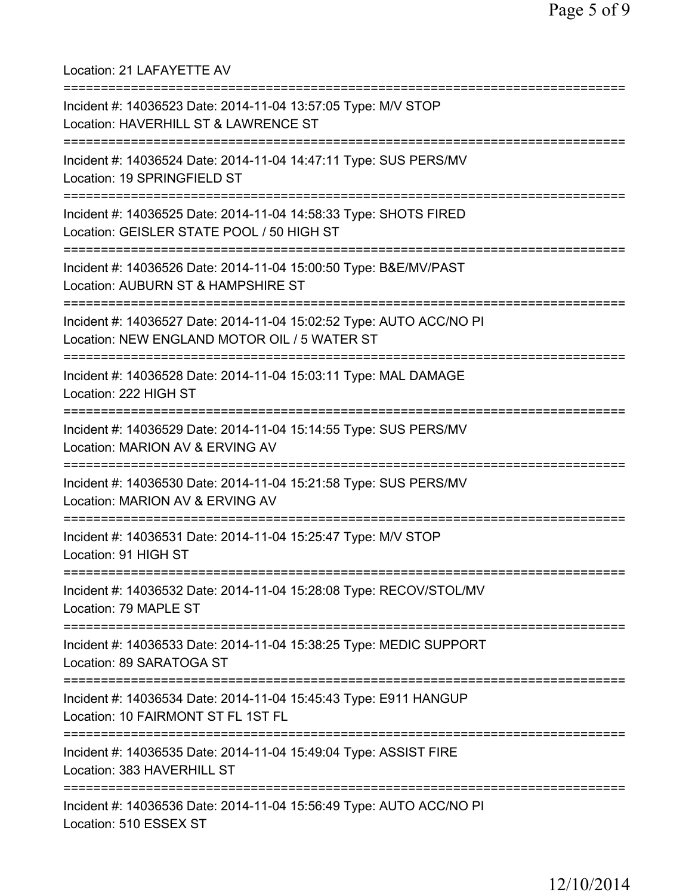| Location: 21 LAFAYETTE AV<br>=====================================                                                                  |
|-------------------------------------------------------------------------------------------------------------------------------------|
| Incident #: 14036523 Date: 2014-11-04 13:57:05 Type: M/V STOP<br>Location: HAVERHILL ST & LAWRENCE ST                               |
| Incident #: 14036524 Date: 2014-11-04 14:47:11 Type: SUS PERS/MV<br>Location: 19 SPRINGFIELD ST                                     |
| Incident #: 14036525 Date: 2014-11-04 14:58:33 Type: SHOTS FIRED<br>Location: GEISLER STATE POOL / 50 HIGH ST                       |
| Incident #: 14036526 Date: 2014-11-04 15:00:50 Type: B&E/MV/PAST<br>Location: AUBURN ST & HAMPSHIRE ST<br>========================= |
| Incident #: 14036527 Date: 2014-11-04 15:02:52 Type: AUTO ACC/NO PI<br>Location: NEW ENGLAND MOTOR OIL / 5 WATER ST                 |
| Incident #: 14036528 Date: 2014-11-04 15:03:11 Type: MAL DAMAGE<br>Location: 222 HIGH ST                                            |
| Incident #: 14036529 Date: 2014-11-04 15:14:55 Type: SUS PERS/MV<br>Location: MARION AV & ERVING AV                                 |
| Incident #: 14036530 Date: 2014-11-04 15:21:58 Type: SUS PERS/MV<br>Location: MARION AV & ERVING AV                                 |
| Incident #: 14036531 Date: 2014-11-04 15:25:47 Type: M/V STOP<br>Location: 91 HIGH ST<br>===================                        |
| Incident #: 14036532 Date: 2014-11-04 15:28:08 Type: RECOV/STOL/MV<br>Location: 79 MAPLE ST                                         |
| Incident #: 14036533 Date: 2014-11-04 15:38:25 Type: MEDIC SUPPORT<br>Location: 89 SARATOGA ST                                      |
| Incident #: 14036534 Date: 2014-11-04 15:45:43 Type: E911 HANGUP<br>Location: 10 FAIRMONT ST FL 1ST FL                              |
| Incident #: 14036535 Date: 2014-11-04 15:49:04 Type: ASSIST FIRE<br>Location: 383 HAVERHILL ST                                      |
| Incident #: 14036536 Date: 2014-11-04 15:56:49 Type: AUTO ACC/NO PI<br>Location: 510 ESSEX ST                                       |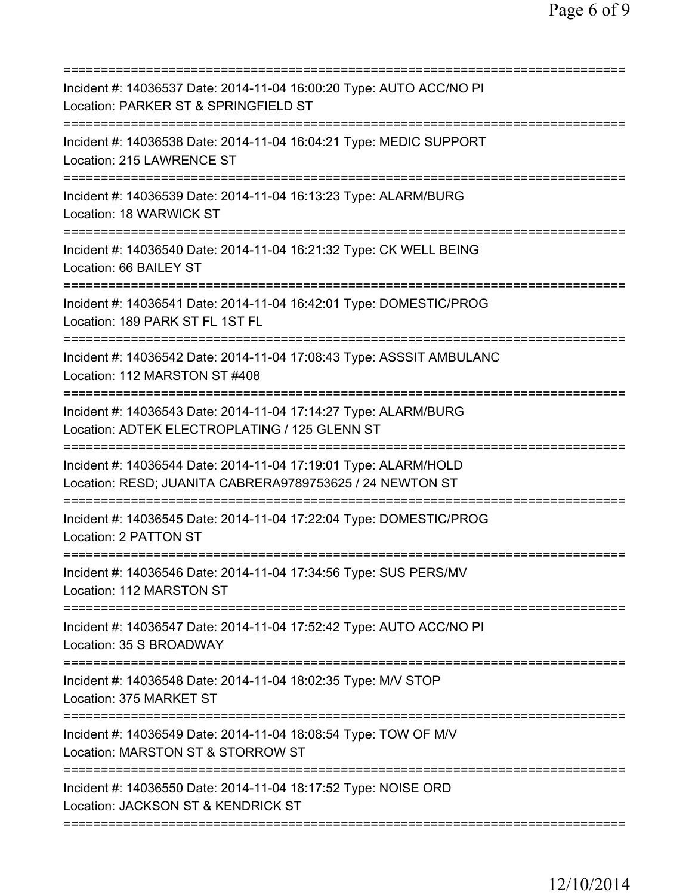| Incident #: 14036537 Date: 2014-11-04 16:00:20 Type: AUTO ACC/NO PI<br>Location: PARKER ST & SPRINGFIELD ST<br>========================  |
|------------------------------------------------------------------------------------------------------------------------------------------|
| Incident #: 14036538 Date: 2014-11-04 16:04:21 Type: MEDIC SUPPORT<br>Location: 215 LAWRENCE ST                                          |
| Incident #: 14036539 Date: 2014-11-04 16:13:23 Type: ALARM/BURG<br>Location: 18 WARWICK ST<br>===========================                |
| Incident #: 14036540 Date: 2014-11-04 16:21:32 Type: CK WELL BEING<br>Location: 66 BAILEY ST                                             |
| Incident #: 14036541 Date: 2014-11-04 16:42:01 Type: DOMESTIC/PROG<br>Location: 189 PARK ST FL 1ST FL                                    |
| Incident #: 14036542 Date: 2014-11-04 17:08:43 Type: ASSSIT AMBULANC<br>Location: 112 MARSTON ST #408                                    |
| Incident #: 14036543 Date: 2014-11-04 17:14:27 Type: ALARM/BURG<br>Location: ADTEK ELECTROPLATING / 125 GLENN ST                         |
| Incident #: 14036544 Date: 2014-11-04 17:19:01 Type: ALARM/HOLD<br>Location: RESD; JUANITA CABRERA9789753625 / 24 NEWTON ST              |
| Incident #: 14036545 Date: 2014-11-04 17:22:04 Type: DOMESTIC/PROG<br>Location: 2 PATTON ST                                              |
| Incident #: 14036546 Date: 2014-11-04 17:34:56 Type: SUS PERS/MV<br>Location: 112 MARSTON ST                                             |
| Incident #: 14036547 Date: 2014-11-04 17:52:42 Type: AUTO ACC/NO PI<br>Location: 35 S BROADWAY<br>====================================== |
| Incident #: 14036548 Date: 2014-11-04 18:02:35 Type: M/V STOP<br>Location: 375 MARKET ST                                                 |
| Incident #: 14036549 Date: 2014-11-04 18:08:54 Type: TOW OF M/V<br>Location: MARSTON ST & STORROW ST                                     |
| Incident #: 14036550 Date: 2014-11-04 18:17:52 Type: NOISE ORD<br>Location: JACKSON ST & KENDRICK ST                                     |
|                                                                                                                                          |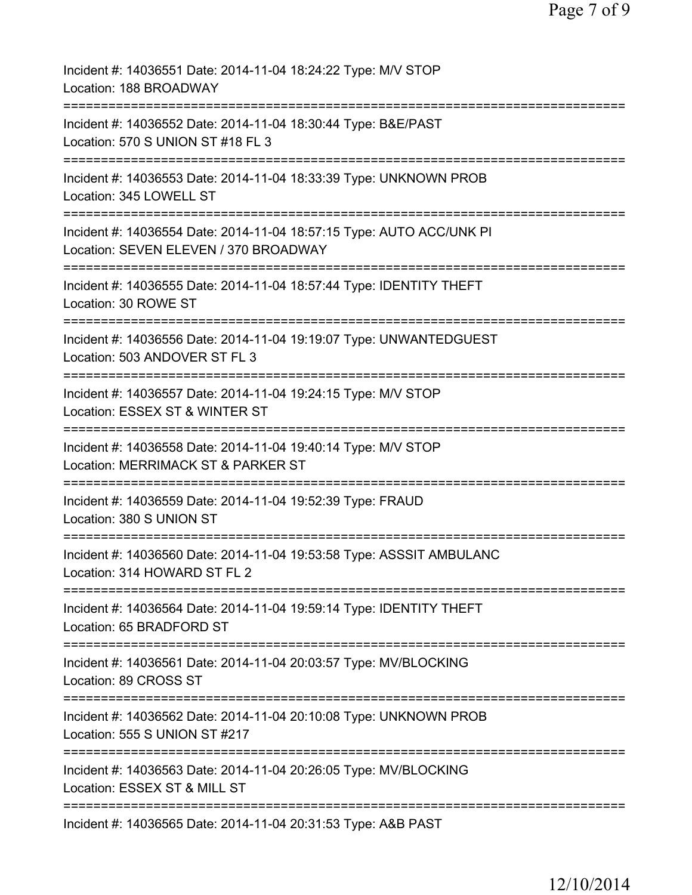| Incident #: 14036551 Date: 2014-11-04 18:24:22 Type: M/V STOP<br>Location: 188 BROADWAY                                 |
|-------------------------------------------------------------------------------------------------------------------------|
| Incident #: 14036552 Date: 2014-11-04 18:30:44 Type: B&E/PAST<br>Location: 570 S UNION ST #18 FL 3                      |
| Incident #: 14036553 Date: 2014-11-04 18:33:39 Type: UNKNOWN PROB<br>Location: 345 LOWELL ST                            |
| Incident #: 14036554 Date: 2014-11-04 18:57:15 Type: AUTO ACC/UNK PI<br>Location: SEVEN ELEVEN / 370 BROADWAY           |
| :=======================<br>Incident #: 14036555 Date: 2014-11-04 18:57:44 Type: IDENTITY THEFT<br>Location: 30 ROWE ST |
| Incident #: 14036556 Date: 2014-11-04 19:19:07 Type: UNWANTEDGUEST<br>Location: 503 ANDOVER ST FL 3                     |
| Incident #: 14036557 Date: 2014-11-04 19:24:15 Type: M/V STOP<br>Location: ESSEX ST & WINTER ST                         |
| Incident #: 14036558 Date: 2014-11-04 19:40:14 Type: M/V STOP<br>Location: MERRIMACK ST & PARKER ST                     |
| Incident #: 14036559 Date: 2014-11-04 19:52:39 Type: FRAUD<br>Location: 380 S UNION ST                                  |
| Incident #: 14036560 Date: 2014-11-04 19:53:58 Type: ASSSIT AMBULANC<br>Location: 314 HOWARD ST FL 2                    |
| Incident #: 14036564 Date: 2014-11-04 19:59:14 Type: IDENTITY THEFT<br>Location: 65 BRADFORD ST                         |
| Incident #: 14036561 Date: 2014-11-04 20:03:57 Type: MV/BLOCKING<br>Location: 89 CROSS ST                               |
| Incident #: 14036562 Date: 2014-11-04 20:10:08 Type: UNKNOWN PROB<br>Location: 555 S UNION ST #217                      |
| Incident #: 14036563 Date: 2014-11-04 20:26:05 Type: MV/BLOCKING<br>Location: ESSEX ST & MILL ST                        |
| Incident #: 14036565 Date: 2014-11-04 20:31:53 Type: A&B PAST                                                           |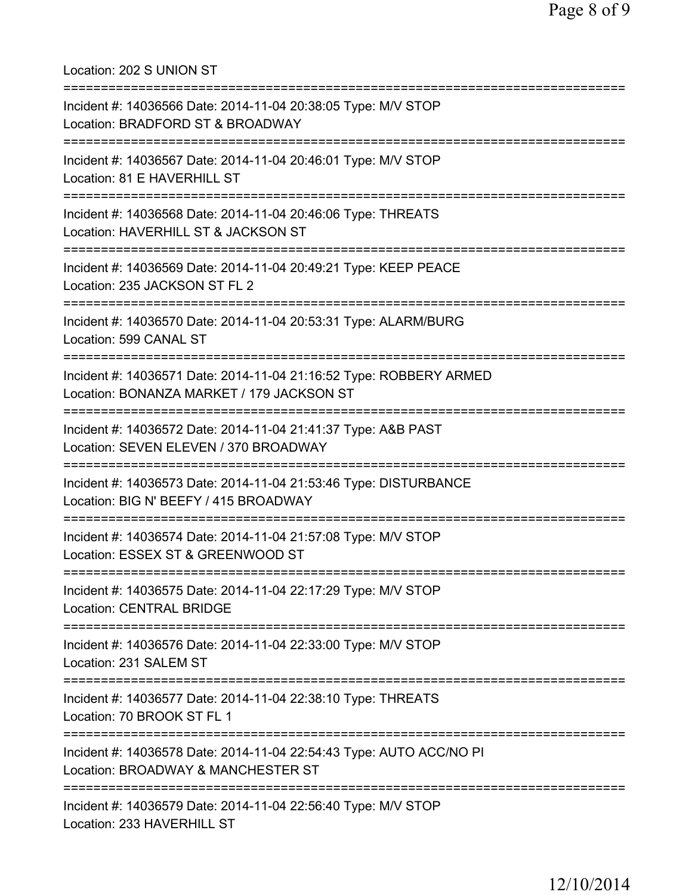Location: 202 S UNION ST =========================================================================== Incident #: 14036566 Date: 2014-11-04 20:38:05 Type: M/V STOP Location: BRADFORD ST & BROADWAY =========================================================================== Incident #: 14036567 Date: 2014-11-04 20:46:01 Type: M/V STOP Location: 81 E HAVERHILL ST =========================================================================== Incident #: 14036568 Date: 2014-11-04 20:46:06 Type: THREATS Location: HAVERHILL ST & JACKSON ST =========================================================================== Incident #: 14036569 Date: 2014-11-04 20:49:21 Type: KEEP PEACE Location: 235 JACKSON ST FL 2 =========================================================================== Incident #: 14036570 Date: 2014-11-04 20:53:31 Type: ALARM/BURG Location: 599 CANAL ST =========================================================================== Incident #: 14036571 Date: 2014-11-04 21:16:52 Type: ROBBERY ARMED Location: BONANZA MARKET / 179 JACKSON ST =========================================================================== Incident #: 14036572 Date: 2014-11-04 21:41:37 Type: A&B PAST Location: SEVEN ELEVEN / 370 BROADWAY =========================================================================== Incident #: 14036573 Date: 2014-11-04 21:53:46 Type: DISTURBANCE Location: BIG N' BEEFY / 415 BROADWAY =========================================================================== Incident #: 14036574 Date: 2014-11-04 21:57:08 Type: M/V STOP Location: ESSEX ST & GREENWOOD ST =========================================================================== Incident #: 14036575 Date: 2014-11-04 22:17:29 Type: M/V STOP Location: CENTRAL BRIDGE =========================================================================== Incident #: 14036576 Date: 2014-11-04 22:33:00 Type: M/V STOP Location: 231 SALEM ST =========================================================================== Incident #: 14036577 Date: 2014-11-04 22:38:10 Type: THREATS Location: 70 BROOK ST FL 1 =========================================================================== Incident #: 14036578 Date: 2014-11-04 22:54:43 Type: AUTO ACC/NO PI Location: BROADWAY & MANCHESTER ST =========================================================================== Incident #: 14036579 Date: 2014-11-04 22:56:40 Type: M/V STOP Location: 233 HAVERHILL ST